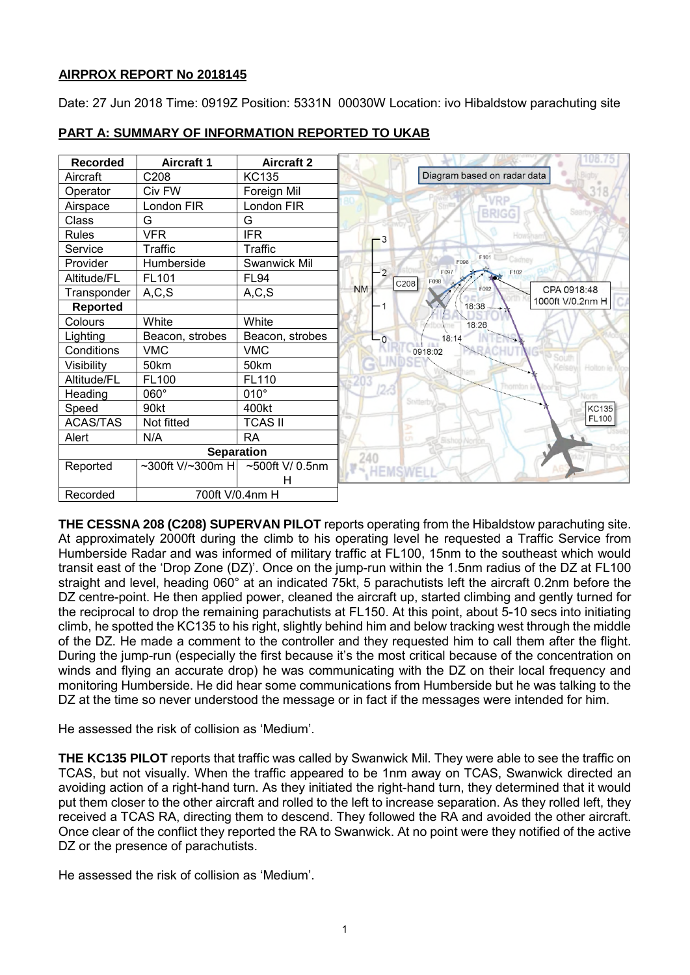# **AIRPROX REPORT No 2018145**

Date: 27 Jun 2018 Time: 0919Z Position: 5331N 00030W Location: ivo Hibaldstow parachuting site

| <b>Recorded</b> | <b>Aircraft 1</b> | <b>Aircraft 2</b> |                                      |
|-----------------|-------------------|-------------------|--------------------------------------|
| Aircraft        | C208              | <b>KC135</b>      | Diagram based on radar data          |
| Operator        | Civ FW            | Foreign Mil       |                                      |
| Airspace        | London FIR        | London FIR        |                                      |
| Class           | G                 | G                 | <b>BRIGG</b>                         |
| <b>Rules</b>    | <b>VFR</b>        | <b>IFR</b>        | -3                                   |
| Service         | Traffic           | Traffic           |                                      |
| Provider        | Humberside        | Swanwick Mil      | F101<br>F098                         |
| Altitude/FL     | FL101             | <b>FL94</b>       | $-2$<br>F097<br>F102<br>F098<br>C208 |
| Transponder     | A, C, S           | A, C, S           | <b>NM</b><br>CPA 0918:48<br>F092     |
| <b>Reported</b> |                   |                   | 1000ft V/0.2nm H<br>18:38            |
| Colours         | White             | White             | 18:26                                |
| Lighting        | Beacon, strobes   | Beacon, strobes   | 18:14<br>$\overline{\mathbf{0}}$     |
| Conditions      | <b>VMC</b>        | <b>VMC</b>        | 0918:02                              |
| Visibility      | 50km              | 50km              |                                      |
| Altitude/FL     | FL100             | FL110             |                                      |
| Heading         | 060°              | $010^\circ$       |                                      |
| Speed           | 90kt              | 400kt             | Snitterb                             |
| <b>ACAS/TAS</b> | Not fitted        | <b>TCAS II</b>    |                                      |
| Alert           | N/A               | <b>RA</b>         |                                      |
|                 | <b>Separation</b> |                   | 240                                  |
| Reported        | ~300ft V/~300m H  | ~500ft V/ 0.5nm   | <b>HEMSWEL</b>                       |
|                 |                   | н                 |                                      |
| Recorded        | 700ft V/0.4nm H   |                   |                                      |

# **PART A: SUMMARY OF INFORMATION REPORTED TO UKAB**

**THE CESSNA 208 (C208) SUPERVAN PILOT** reports operating from the Hibaldstow parachuting site. At approximately 2000ft during the climb to his operating level he requested a Traffic Service from Humberside Radar and was informed of military traffic at FL100, 15nm to the southeast which would transit east of the 'Drop Zone (DZ)'. Once on the jump-run within the 1.5nm radius of the DZ at FL100 straight and level, heading 060° at an indicated 75kt, 5 parachutists left the aircraft 0.2nm before the DZ centre-point. He then applied power, cleaned the aircraft up, started climbing and gently turned for the reciprocal to drop the remaining parachutists at FL150. At this point, about 5-10 secs into initiating climb, he spotted the KC135 to his right, slightly behind him and below tracking west through the middle of the DZ. He made a comment to the controller and they requested him to call them after the flight. During the jump-run (especially the first because it's the most critical because of the concentration on winds and flying an accurate drop) he was communicating with the DZ on their local frequency and monitoring Humberside. He did hear some communications from Humberside but he was talking to the DZ at the time so never understood the message or in fact if the messages were intended for him.

He assessed the risk of collision as 'Medium'.

**THE KC135 PILOT** reports that traffic was called by Swanwick Mil. They were able to see the traffic on TCAS, but not visually. When the traffic appeared to be 1nm away on TCAS, Swanwick directed an avoiding action of a right-hand turn. As they initiated the right-hand turn, they determined that it would put them closer to the other aircraft and rolled to the left to increase separation. As they rolled left, they received a TCAS RA, directing them to descend. They followed the RA and avoided the other aircraft. Once clear of the conflict they reported the RA to Swanwick. At no point were they notified of the active DZ or the presence of parachutists.

He assessed the risk of collision as 'Medium'.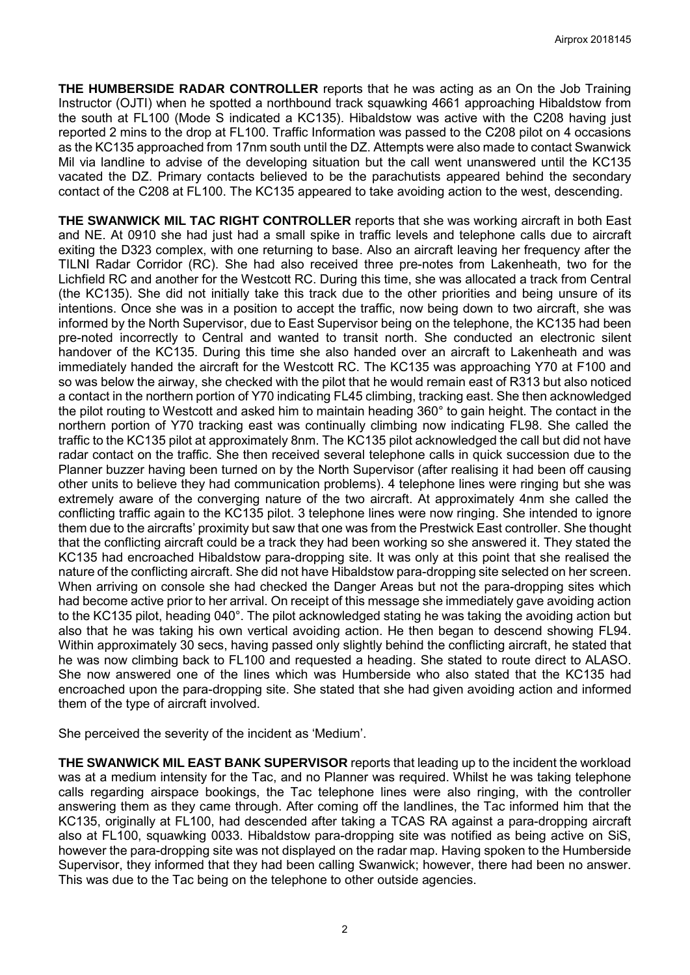**THE HUMBERSIDE RADAR CONTROLLER** reports that he was acting as an On the Job Training Instructor (OJTI) when he spotted a northbound track squawking 4661 approaching Hibaldstow from the south at FL100 (Mode S indicated a KC135). Hibaldstow was active with the C208 having just reported 2 mins to the drop at FL100. Traffic Information was passed to the C208 pilot on 4 occasions as the KC135 approached from 17nm south until the DZ. Attempts were also made to contact Swanwick Mil via landline to advise of the developing situation but the call went unanswered until the KC135 vacated the DZ. Primary contacts believed to be the parachutists appeared behind the secondary contact of the C208 at FL100. The KC135 appeared to take avoiding action to the west, descending.

**THE SWANWICK MIL TAC RIGHT CONTROLLER** reports that she was working aircraft in both East and NE. At 0910 she had just had a small spike in traffic levels and telephone calls due to aircraft exiting the D323 complex, with one returning to base. Also an aircraft leaving her frequency after the TILNI Radar Corridor (RC). She had also received three pre-notes from Lakenheath, two for the Lichfield RC and another for the Westcott RC. During this time, she was allocated a track from Central (the KC135). She did not initially take this track due to the other priorities and being unsure of its intentions. Once she was in a position to accept the traffic, now being down to two aircraft, she was informed by the North Supervisor, due to East Supervisor being on the telephone, the KC135 had been pre-noted incorrectly to Central and wanted to transit north. She conducted an electronic silent handover of the KC135. During this time she also handed over an aircraft to Lakenheath and was immediately handed the aircraft for the Westcott RC. The KC135 was approaching Y70 at F100 and so was below the airway, she checked with the pilot that he would remain east of R313 but also noticed a contact in the northern portion of Y70 indicating FL45 climbing, tracking east. She then acknowledged the pilot routing to Westcott and asked him to maintain heading 360° to gain height. The contact in the northern portion of Y70 tracking east was continually climbing now indicating FL98. She called the traffic to the KC135 pilot at approximately 8nm. The KC135 pilot acknowledged the call but did not have radar contact on the traffic. She then received several telephone calls in quick succession due to the Planner buzzer having been turned on by the North Supervisor (after realising it had been off causing other units to believe they had communication problems). 4 telephone lines were ringing but she was extremely aware of the converging nature of the two aircraft. At approximately 4nm she called the conflicting traffic again to the KC135 pilot. 3 telephone lines were now ringing. She intended to ignore them due to the aircrafts' proximity but saw that one was from the Prestwick East controller. She thought that the conflicting aircraft could be a track they had been working so she answered it. They stated the KC135 had encroached Hibaldstow para-dropping site. It was only at this point that she realised the nature of the conflicting aircraft. She did not have Hibaldstow para-dropping site selected on her screen. When arriving on console she had checked the Danger Areas but not the para-dropping sites which had become active prior to her arrival. On receipt of this message she immediately gave avoiding action to the KC135 pilot, heading 040°. The pilot acknowledged stating he was taking the avoiding action but also that he was taking his own vertical avoiding action. He then began to descend showing FL94. Within approximately 30 secs, having passed only slightly behind the conflicting aircraft, he stated that he was now climbing back to FL100 and requested a heading. She stated to route direct to ALASO. She now answered one of the lines which was Humberside who also stated that the KC135 had encroached upon the para-dropping site. She stated that she had given avoiding action and informed them of the type of aircraft involved.

She perceived the severity of the incident as 'Medium'.

**THE SWANWICK MIL EAST BANK SUPERVISOR** reports that leading up to the incident the workload was at a medium intensity for the Tac, and no Planner was required. Whilst he was taking telephone calls regarding airspace bookings, the Tac telephone lines were also ringing, with the controller answering them as they came through. After coming off the landlines, the Tac informed him that the KC135, originally at FL100, had descended after taking a TCAS RA against a para-dropping aircraft also at FL100, squawking 0033. Hibaldstow para-dropping site was notified as being active on SiS, however the para-dropping site was not displayed on the radar map. Having spoken to the Humberside Supervisor, they informed that they had been calling Swanwick; however, there had been no answer. This was due to the Tac being on the telephone to other outside agencies.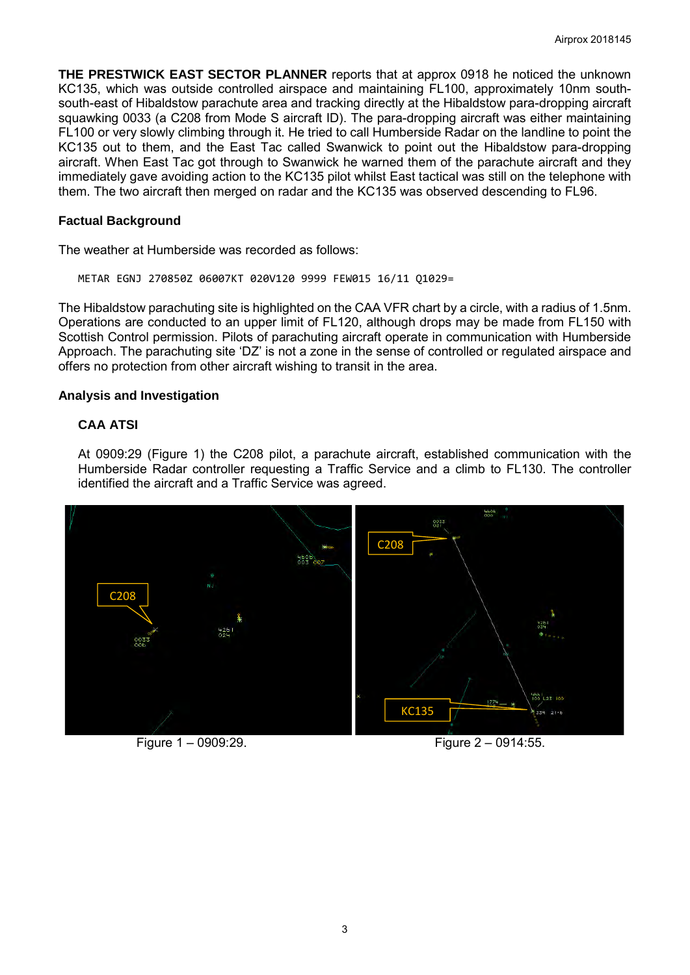**THE PRESTWICK EAST SECTOR PLANNER** reports that at approx 0918 he noticed the unknown KC135, which was outside controlled airspace and maintaining FL100, approximately 10nm southsouth-east of Hibaldstow parachute area and tracking directly at the Hibaldstow para-dropping aircraft squawking 0033 (a C208 from Mode S aircraft ID). The para-dropping aircraft was either maintaining FL100 or very slowly climbing through it. He tried to call Humberside Radar on the landline to point the KC135 out to them, and the East Tac called Swanwick to point out the Hibaldstow para-dropping aircraft. When East Tac got through to Swanwick he warned them of the parachute aircraft and they immediately gave avoiding action to the KC135 pilot whilst East tactical was still on the telephone with them. The two aircraft then merged on radar and the KC135 was observed descending to FL96.

## **Factual Background**

The weather at Humberside was recorded as follows:

METAR EGNJ 270850Z 06007KT 020V120 9999 FEW015 16/11 Q1029=

The Hibaldstow parachuting site is highlighted on the CAA VFR chart by a circle, with a radius of 1.5nm. Operations are conducted to an upper limit of FL120, although drops may be made from FL150 with Scottish Control permission. Pilots of parachuting aircraft operate in communication with Humberside Approach. The parachuting site 'DZ' is not a zone in the sense of controlled or regulated airspace and offers no protection from other aircraft wishing to transit in the area.

## **Analysis and Investigation**

## **CAA ATSI**

At 0909:29 (Figure 1) the C208 pilot, a parachute aircraft, established communication with the Humberside Radar controller requesting a Traffic Service and a climb to FL130. The controller identified the aircraft and a Traffic Service was agreed.



Figure 1 – 0909:29. Figure 2 – 0914:55.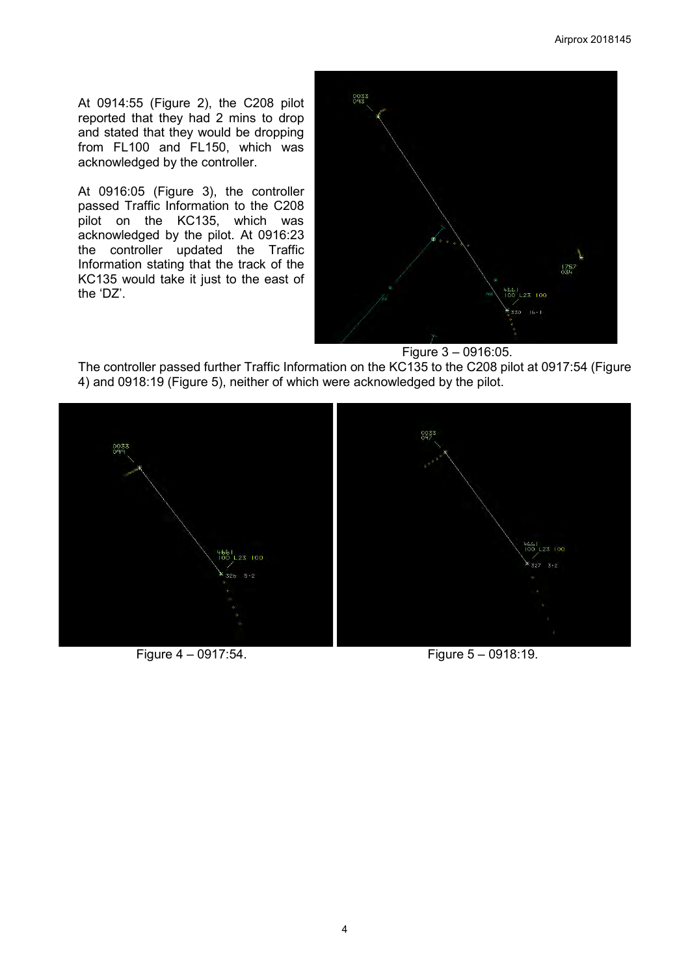At 0914:55 (Figure 2), the C208 pilot reported that they had 2 mins to drop and stated that they would be dropping from FL100 and FL150, which was acknowledged by the controller.

At 0916:05 (Figure 3), the controller passed Traffic Information to the C208 pilot on the KC135, which was acknowledged by the pilot. At 0916:23 the controller updated the Traffic Information stating that the track of the KC135 would take it just to the east of the 'DZ'.



Figure 3 – 0916:05.

The controller passed further Traffic Information on the KC135 to the C208 pilot at 0917:54 (Figure 4) and 0918:19 (Figure 5), neither of which were acknowledged by the pilot.



Figure 4 – 0917:54. Figure 5 – 0918:19.

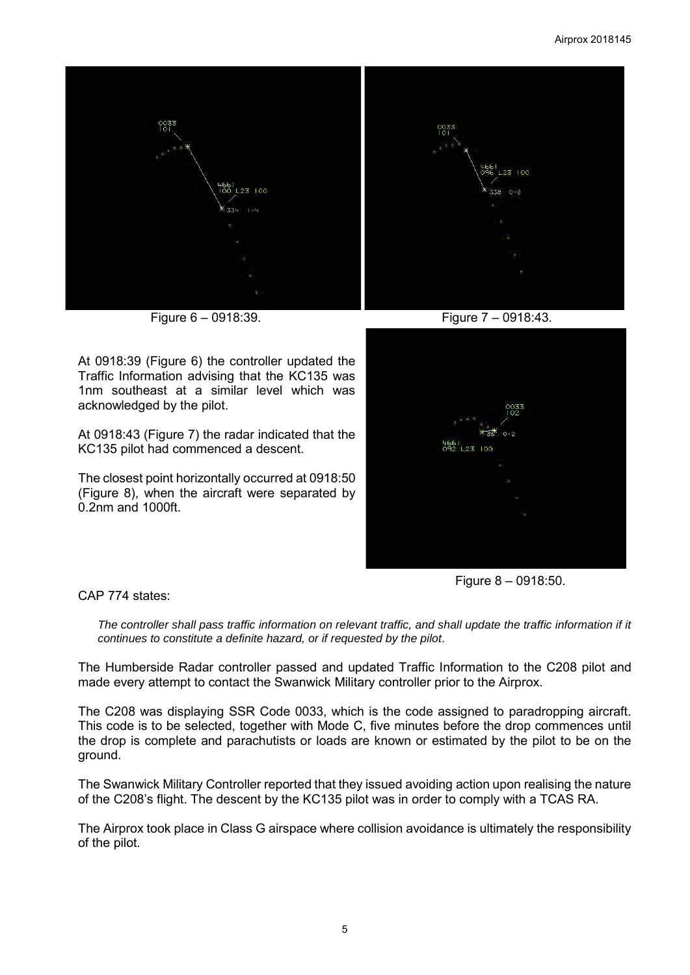

Figure 6 – 0918:39. Figure 7 – 0918:43.

At 0918:39 (Figure 6) the controller updated the Traffic Information advising that the KC135 was 1nm southeast at a similar level which was acknowledged by the pilot.

At 0918:43 (Figure 7) the radar indicated that the KC135 pilot had commenced a descent.

The closest point horizontally occurred at 0918:50 (Figure 8), when the aircraft were separated by 0.2nm and 1000ft.



Figure 8 – 0918:50.

CAP 774 states:

*The controller shall pass traffic information on relevant traffic, and shall update the traffic information if it continues to constitute a definite hazard, or if requested by the pilot*.

The Humberside Radar controller passed and updated Traffic Information to the C208 pilot and made every attempt to contact the Swanwick Military controller prior to the Airprox.

The C208 was displaying SSR Code 0033, which is the code assigned to paradropping aircraft. This code is to be selected, together with Mode C, five minutes before the drop commences until the drop is complete and parachutists or loads are known or estimated by the pilot to be on the ground.

The Swanwick Military Controller reported that they issued avoiding action upon realising the nature of the C208's flight. The descent by the KC135 pilot was in order to comply with a TCAS RA.

The Airprox took place in Class G airspace where collision avoidance is ultimately the responsibility of the pilot.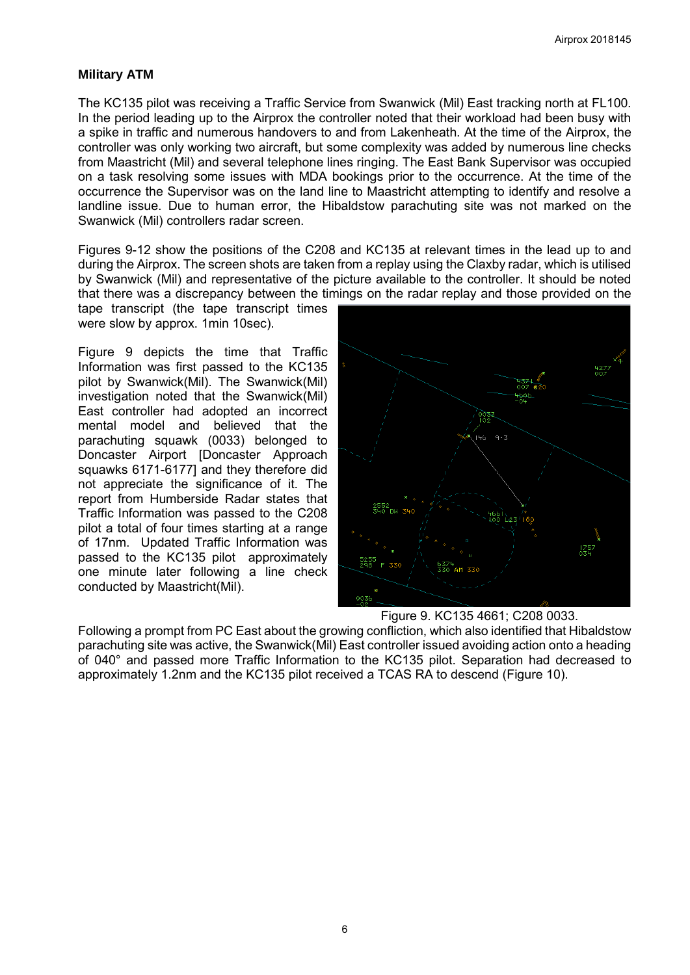## **Military ATM**

The KC135 pilot was receiving a Traffic Service from Swanwick (Mil) East tracking north at FL100. In the period leading up to the Airprox the controller noted that their workload had been busy with a spike in traffic and numerous handovers to and from Lakenheath. At the time of the Airprox, the controller was only working two aircraft, but some complexity was added by numerous line checks from Maastricht (Mil) and several telephone lines ringing. The East Bank Supervisor was occupied on a task resolving some issues with MDA bookings prior to the occurrence. At the time of the occurrence the Supervisor was on the land line to Maastricht attempting to identify and resolve a landline issue. Due to human error, the Hibaldstow parachuting site was not marked on the Swanwick (Mil) controllers radar screen.

Figures 9-12 show the positions of the C208 and KC135 at relevant times in the lead up to and during the Airprox. The screen shots are taken from a replay using the Claxby radar, which is utilised by Swanwick (Mil) and representative of the picture available to the controller. It should be noted that there was a discrepancy between the timings on the radar replay and those provided on the

tape transcript (the tape transcript times were slow by approx. 1min 10sec).

Figure 9 depicts the time that Traffic Information was first passed to the KC135 pilot by Swanwick(Mil). The Swanwick(Mil) investigation noted that the Swanwick(Mil) East controller had adopted an incorrect mental model and believed that the parachuting squawk (0033) belonged to Doncaster Airport [Doncaster Approach squawks 6171-6177] and they therefore did not appreciate the significance of it. The report from Humberside Radar states that Traffic Information was passed to the C208 pilot a total of four times starting at a range of 17nm. Updated Traffic Information was passed to the KC135 pilot approximately one minute later following a line check conducted by Maastricht(Mil).



Figure 9. KC135 4661; C208 0033.

Following a prompt from PC East about the growing confliction, which also identified that Hibaldstow parachuting site was active, the Swanwick(Mil) East controller issued avoiding action onto a heading of 040° and passed more Traffic Information to the KC135 pilot. Separation had decreased to approximately 1.2nm and the KC135 pilot received a TCAS RA to descend (Figure 10).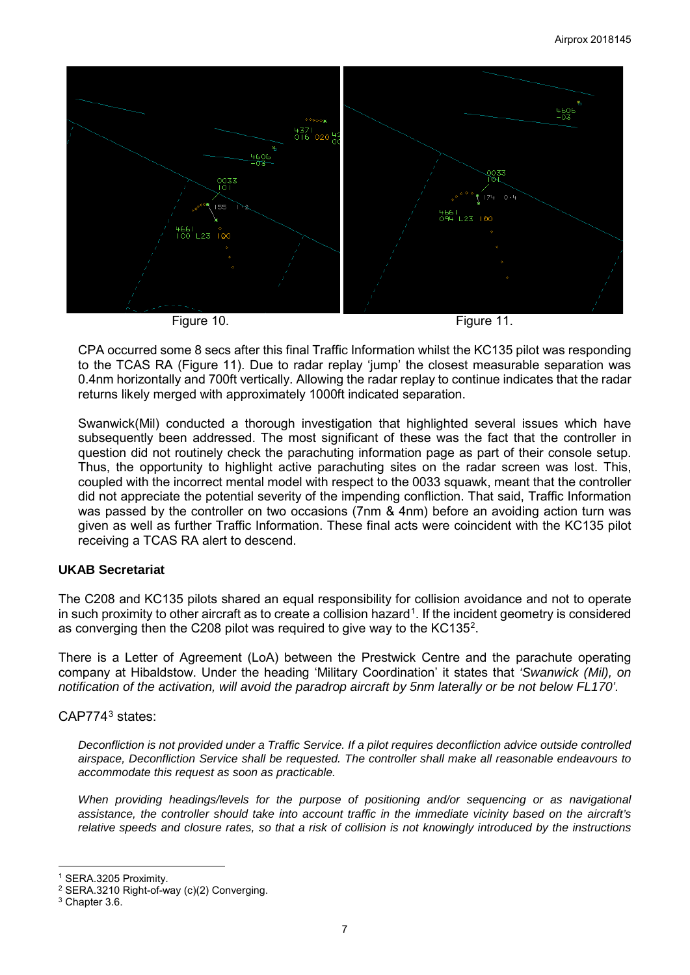

CPA occurred some 8 secs after this final Traffic Information whilst the KC135 pilot was responding to the TCAS RA (Figure 11). Due to radar replay 'jump' the closest measurable separation was 0.4nm horizontally and 700ft vertically. Allowing the radar replay to continue indicates that the radar returns likely merged with approximately 1000ft indicated separation.

Swanwick(Mil) conducted a thorough investigation that highlighted several issues which have subsequently been addressed. The most significant of these was the fact that the controller in question did not routinely check the parachuting information page as part of their console setup. Thus, the opportunity to highlight active parachuting sites on the radar screen was lost. This, coupled with the incorrect mental model with respect to the 0033 squawk, meant that the controller did not appreciate the potential severity of the impending confliction. That said, Traffic Information was passed by the controller on two occasions (7nm & 4nm) before an avoiding action turn was given as well as further Traffic Information. These final acts were coincident with the KC135 pilot receiving a TCAS RA alert to descend.

## **UKAB Secretariat**

The C208 and KC135 pilots shared an equal responsibility for collision avoidance and not to operate in such proximity to other aircraft as to create a collision hazard<sup>[1](#page-6-0)</sup>. If the incident geometry is considered as converging then the C[2](#page-6-1)08 pilot was required to give way to the KC135<sup>2</sup>.

There is a Letter of Agreement (LoA) between the Prestwick Centre and the parachute operating company at Hibaldstow. Under the heading 'Military Coordination' it states that *'Swanwick (Mil), on notification of the activation, will avoid the paradrop aircraft by 5nm laterally or be not below FL170'.* 

# CAP774[3](#page-6-2) states:

*Deconfliction is not provided under a Traffic Service. If a pilot requires deconfliction advice outside controlled airspace, Deconfliction Service shall be requested. The controller shall make all reasonable endeavours to accommodate this request as soon as practicable.* 

*When providing headings/levels for the purpose of positioning and/or sequencing or as navigational assistance, the controller should take into account traffic in the immediate vicinity based on the aircraft's relative speeds and closure rates, so that a risk of collision is not knowingly introduced by the instructions* 

 $\overline{\phantom{a}}$ 

<sup>1</sup> SERA.3205 Proximity.

<span id="page-6-1"></span><span id="page-6-0"></span><sup>2</sup> SERA.3210 Right-of-way (c)(2) Converging.

<span id="page-6-2"></span><sup>3</sup> Chapter 3.6.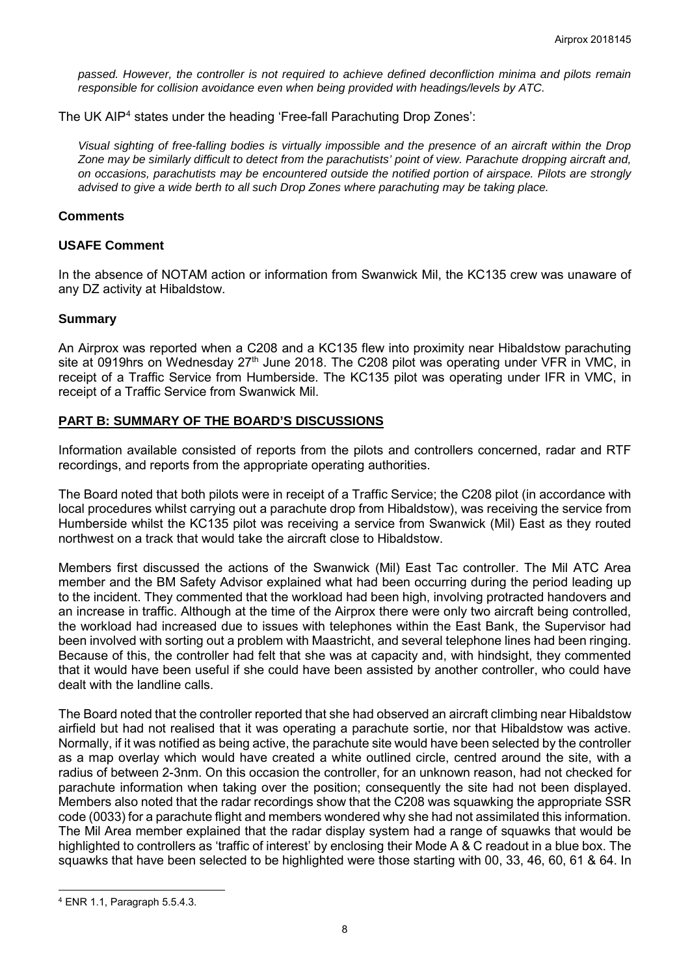*passed. However, the controller is not required to achieve defined deconfliction minima and pilots remain responsible for collision avoidance even when being provided with headings/levels by ATC.* 

The UK AIP<sup>[4](#page-7-0)</sup> states under the heading 'Free-fall Parachuting Drop Zones':

*Visual sighting of free-falling bodies is virtually impossible and the presence of an aircraft within the Drop Zone may be similarly difficult to detect from the parachutists' point of view. Parachute dropping aircraft and, on occasions, parachutists may be encountered outside the notified portion of airspace. Pilots are strongly advised to give a wide berth to all such Drop Zones where parachuting may be taking place.*

#### **Comments**

#### **USAFE Comment**

In the absence of NOTAM action or information from Swanwick Mil, the KC135 crew was unaware of any DZ activity at Hibaldstow.

#### **Summary**

An Airprox was reported when a C208 and a KC135 flew into proximity near Hibaldstow parachuting site at 0919hrs on Wednesday 27<sup>th</sup> June 2018. The C208 pilot was operating under VFR in VMC, in receipt of a Traffic Service from Humberside. The KC135 pilot was operating under IFR in VMC, in receipt of a Traffic Service from Swanwick Mil.

## **PART B: SUMMARY OF THE BOARD'S DISCUSSIONS**

Information available consisted of reports from the pilots and controllers concerned, radar and RTF recordings, and reports from the appropriate operating authorities.

The Board noted that both pilots were in receipt of a Traffic Service; the C208 pilot (in accordance with local procedures whilst carrying out a parachute drop from Hibaldstow), was receiving the service from Humberside whilst the KC135 pilot was receiving a service from Swanwick (Mil) East as they routed northwest on a track that would take the aircraft close to Hibaldstow.

Members first discussed the actions of the Swanwick (Mil) East Tac controller. The Mil ATC Area member and the BM Safety Advisor explained what had been occurring during the period leading up to the incident. They commented that the workload had been high, involving protracted handovers and an increase in traffic. Although at the time of the Airprox there were only two aircraft being controlled, the workload had increased due to issues with telephones within the East Bank, the Supervisor had been involved with sorting out a problem with Maastricht, and several telephone lines had been ringing. Because of this, the controller had felt that she was at capacity and, with hindsight, they commented that it would have been useful if she could have been assisted by another controller, who could have dealt with the landline calls.

The Board noted that the controller reported that she had observed an aircraft climbing near Hibaldstow airfield but had not realised that it was operating a parachute sortie, nor that Hibaldstow was active. Normally, if it was notified as being active, the parachute site would have been selected by the controller as a map overlay which would have created a white outlined circle, centred around the site, with a radius of between 2-3nm. On this occasion the controller, for an unknown reason, had not checked for parachute information when taking over the position; consequently the site had not been displayed. Members also noted that the radar recordings show that the C208 was squawking the appropriate SSR code (0033) for a parachute flight and members wondered why she had not assimilated this information. The Mil Area member explained that the radar display system had a range of squawks that would be highlighted to controllers as 'traffic of interest' by enclosing their Mode A & C readout in a blue box. The squawks that have been selected to be highlighted were those starting with 00, 33, 46, 60, 61 & 64. In

 $\overline{\phantom{a}}$ 

<span id="page-7-0"></span><sup>4</sup> ENR 1.1, Paragraph 5.5.4.3.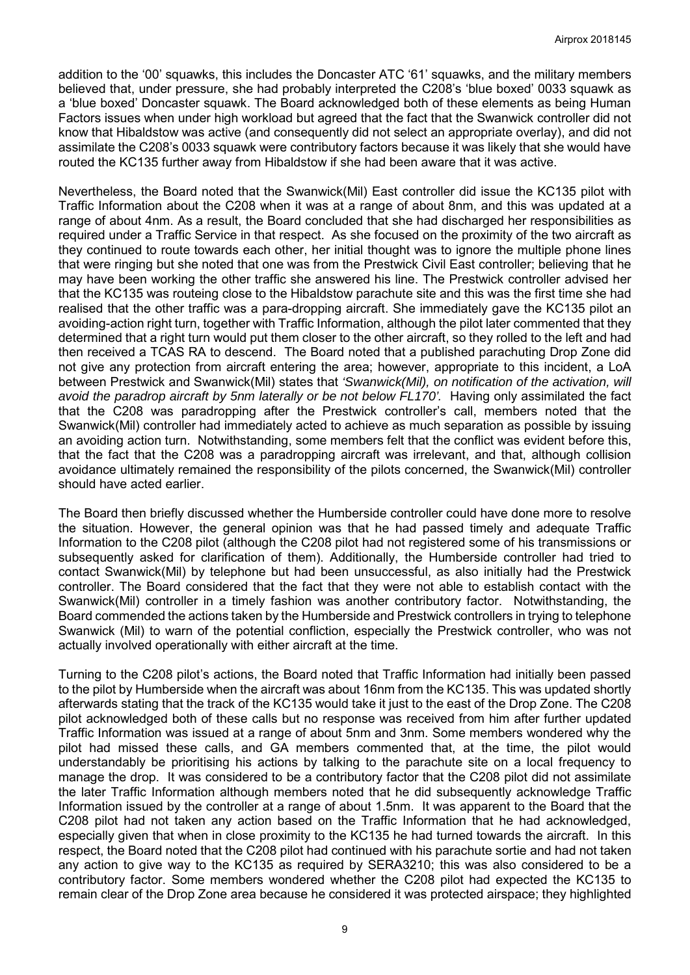addition to the '00' squawks, this includes the Doncaster ATC '61' squawks, and the military members believed that, under pressure, she had probably interpreted the C208's 'blue boxed' 0033 squawk as a 'blue boxed' Doncaster squawk. The Board acknowledged both of these elements as being Human Factors issues when under high workload but agreed that the fact that the Swanwick controller did not know that Hibaldstow was active (and consequently did not select an appropriate overlay), and did not assimilate the C208's 0033 squawk were contributory factors because it was likely that she would have routed the KC135 further away from Hibaldstow if she had been aware that it was active.

Nevertheless, the Board noted that the Swanwick(Mil) East controller did issue the KC135 pilot with Traffic Information about the C208 when it was at a range of about 8nm, and this was updated at a range of about 4nm. As a result, the Board concluded that she had discharged her responsibilities as required under a Traffic Service in that respect. As she focused on the proximity of the two aircraft as they continued to route towards each other, her initial thought was to ignore the multiple phone lines that were ringing but she noted that one was from the Prestwick Civil East controller; believing that he may have been working the other traffic she answered his line. The Prestwick controller advised her that the KC135 was routeing close to the Hibaldstow parachute site and this was the first time she had realised that the other traffic was a para-dropping aircraft. She immediately gave the KC135 pilot an avoiding-action right turn, together with Traffic Information, although the pilot later commented that they determined that a right turn would put them closer to the other aircraft, so they rolled to the left and had then received a TCAS RA to descend. The Board noted that a published parachuting Drop Zone did not give any protection from aircraft entering the area; however, appropriate to this incident, a LoA between Prestwick and Swanwick(Mil) states that *'Swanwick(Mil), on notification of the activation, will avoid the paradrop aircraft by 5nm laterally or be not below FL170'.* Having only assimilated the fact that the C208 was paradropping after the Prestwick controller's call, members noted that the Swanwick(Mil) controller had immediately acted to achieve as much separation as possible by issuing an avoiding action turn. Notwithstanding, some members felt that the conflict was evident before this, that the fact that the C208 was a paradropping aircraft was irrelevant, and that, although collision avoidance ultimately remained the responsibility of the pilots concerned, the Swanwick(Mil) controller should have acted earlier.

The Board then briefly discussed whether the Humberside controller could have done more to resolve the situation. However, the general opinion was that he had passed timely and adequate Traffic Information to the C208 pilot (although the C208 pilot had not registered some of his transmissions or subsequently asked for clarification of them). Additionally, the Humberside controller had tried to contact Swanwick(Mil) by telephone but had been unsuccessful, as also initially had the Prestwick controller. The Board considered that the fact that they were not able to establish contact with the Swanwick(Mil) controller in a timely fashion was another contributory factor. Notwithstanding, the Board commended the actions taken by the Humberside and Prestwick controllers in trying to telephone Swanwick (Mil) to warn of the potential confliction, especially the Prestwick controller, who was not actually involved operationally with either aircraft at the time.

Turning to the C208 pilot's actions, the Board noted that Traffic Information had initially been passed to the pilot by Humberside when the aircraft was about 16nm from the KC135. This was updated shortly afterwards stating that the track of the KC135 would take it just to the east of the Drop Zone. The C208 pilot acknowledged both of these calls but no response was received from him after further updated Traffic Information was issued at a range of about 5nm and 3nm. Some members wondered why the pilot had missed these calls, and GA members commented that, at the time, the pilot would understandably be prioritising his actions by talking to the parachute site on a local frequency to manage the drop. It was considered to be a contributory factor that the C208 pilot did not assimilate the later Traffic Information although members noted that he did subsequently acknowledge Traffic Information issued by the controller at a range of about 1.5nm. It was apparent to the Board that the C208 pilot had not taken any action based on the Traffic Information that he had acknowledged, especially given that when in close proximity to the KC135 he had turned towards the aircraft. In this respect, the Board noted that the C208 pilot had continued with his parachute sortie and had not taken any action to give way to the KC135 as required by SERA3210; this was also considered to be a contributory factor. Some members wondered whether the C208 pilot had expected the KC135 to remain clear of the Drop Zone area because he considered it was protected airspace; they highlighted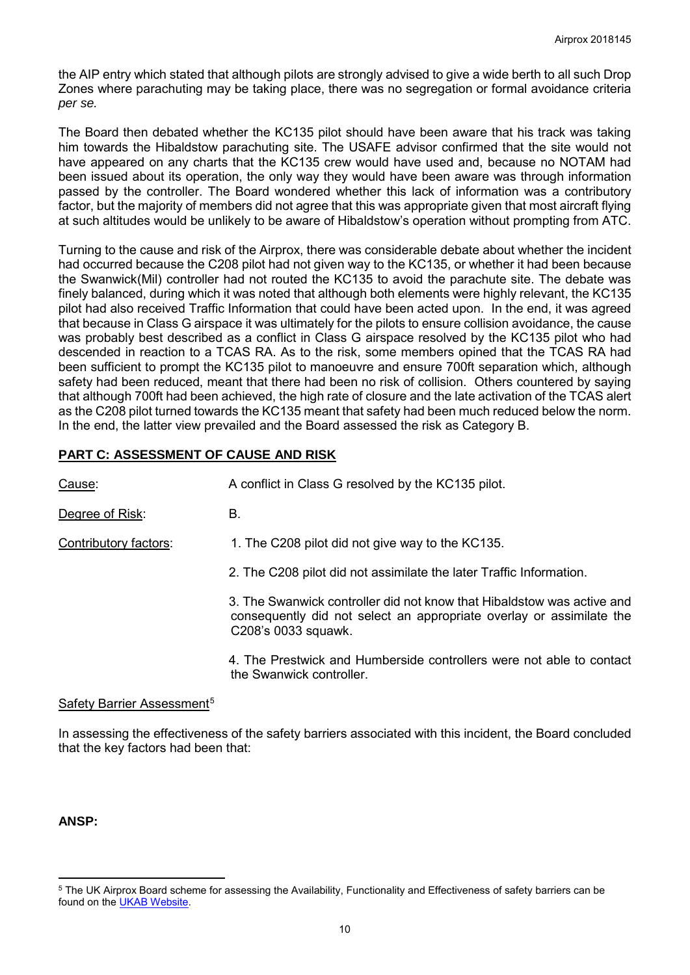the AIP entry which stated that although pilots are strongly advised to give a wide berth to all such Drop Zones where parachuting may be taking place, there was no segregation or formal avoidance criteria *per se.*

The Board then debated whether the KC135 pilot should have been aware that his track was taking him towards the Hibaldstow parachuting site. The USAFE advisor confirmed that the site would not have appeared on any charts that the KC135 crew would have used and, because no NOTAM had been issued about its operation, the only way they would have been aware was through information passed by the controller. The Board wondered whether this lack of information was a contributory factor, but the majority of members did not agree that this was appropriate given that most aircraft flying at such altitudes would be unlikely to be aware of Hibaldstow's operation without prompting from ATC.

Turning to the cause and risk of the Airprox, there was considerable debate about whether the incident had occurred because the C208 pilot had not given way to the KC135, or whether it had been because the Swanwick(Mil) controller had not routed the KC135 to avoid the parachute site. The debate was finely balanced, during which it was noted that although both elements were highly relevant, the KC135 pilot had also received Traffic Information that could have been acted upon. In the end, it was agreed that because in Class G airspace it was ultimately for the pilots to ensure collision avoidance, the cause was probably best described as a conflict in Class G airspace resolved by the KC135 pilot who had descended in reaction to a TCAS RA. As to the risk, some members opined that the TCAS RA had been sufficient to prompt the KC135 pilot to manoeuvre and ensure 700ft separation which, although safety had been reduced, meant that there had been no risk of collision. Others countered by saying that although 700ft had been achieved, the high rate of closure and the late activation of the TCAS alert as the C208 pilot turned towards the KC135 meant that safety had been much reduced below the norm. In the end, the latter view prevailed and the Board assessed the risk as Category B.

# **PART C: ASSESSMENT OF CAUSE AND RISK**

| Cause:                | A conflict in Class G resolved by the KC135 pilot.                                                                                                                    |
|-----------------------|-----------------------------------------------------------------------------------------------------------------------------------------------------------------------|
| Degree of Risk:       | В.                                                                                                                                                                    |
| Contributory factors: | 1. The C208 pilot did not give way to the KC135.                                                                                                                      |
|                       | 2. The C208 pilot did not assimilate the later Traffic Information.                                                                                                   |
|                       | 3. The Swanwick controller did not know that Hibaldstow was active and<br>consequently did not select an appropriate overlay or assimilate the<br>C208's 0033 squawk. |
|                       | 4. The Prestwick and Humberside controllers were not able to contact<br>the Swanwick controller.                                                                      |

#### Safety Barrier Assessment<sup>[5](#page-9-0)</sup>

In assessing the effectiveness of the safety barriers associated with this incident, the Board concluded that the key factors had been that:

**ANSP:**

l

<span id="page-9-0"></span><sup>5</sup> The UK Airprox Board scheme for assessing the Availability, Functionality and Effectiveness of safety barriers can be found on the [UKAB Website.](http://www.airproxboard.org.uk/Learn-more/Airprox-Barrier-Assessment/)